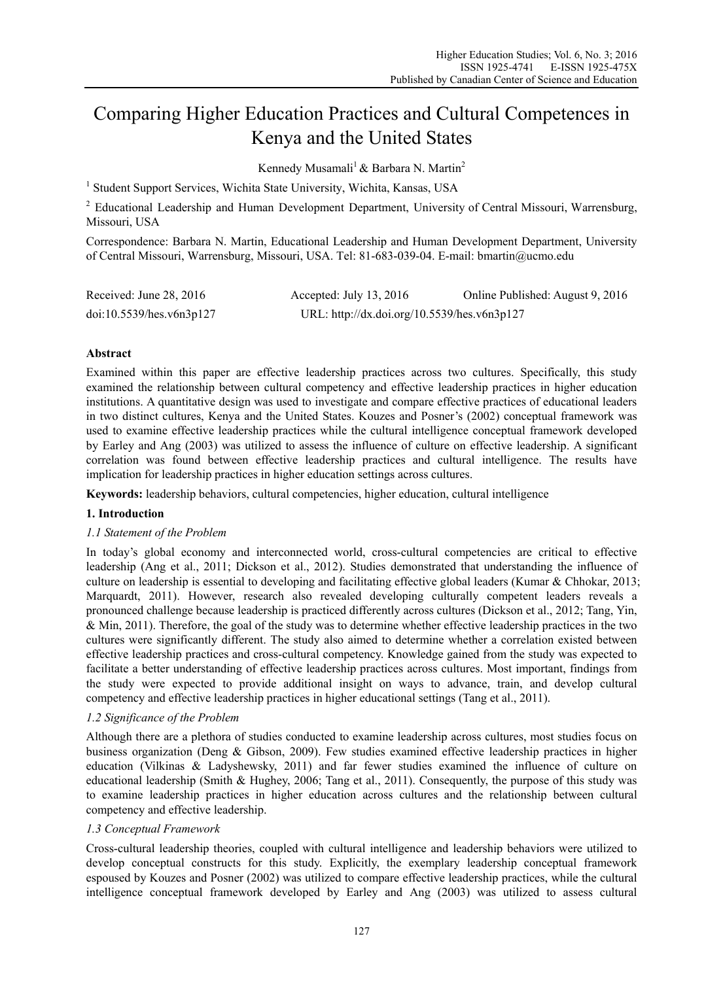# Comparing Higher Education Practices and Cultural Competences in Kenya and the United States

Kennedy Musamali<sup>1</sup> & Barbara N. Martin<sup>2</sup>

<sup>1</sup> Student Support Services, Wichita State University, Wichita, Kansas, USA

 $2$  Educational Leadership and Human Development Department, University of Central Missouri, Warrensburg, Missouri, USA

Correspondence: Barbara N. Martin, Educational Leadership and Human Development Department, University of Central Missouri, Warrensburg, Missouri, USA. Tel: 81-683-039-04. E-mail: bmartin@ucmo.edu

| Received: June 28, 2016  | Accepted: July 13, 2016                     | Online Published: August 9, 2016 |
|--------------------------|---------------------------------------------|----------------------------------|
| doi:10.5539/hes.v6n3p127 | URL: http://dx.doi.org/10.5539/hes.v6n3p127 |                                  |

# **Abstract**

Examined within this paper are effective leadership practices across two cultures. Specifically, this study examined the relationship between cultural competency and effective leadership practices in higher education institutions. A quantitative design was used to investigate and compare effective practices of educational leaders in two distinct cultures, Kenya and the United States. Kouzes and Posner's (2002) conceptual framework was used to examine effective leadership practices while the cultural intelligence conceptual framework developed by Earley and Ang (2003) was utilized to assess the influence of culture on effective leadership. A significant correlation was found between effective leadership practices and cultural intelligence. The results have implication for leadership practices in higher education settings across cultures.

**Keywords:** leadership behaviors, cultural competencies, higher education, cultural intelligence

# **1. Introduction**

## *1.1 Statement of the Problem*

In today's global economy and interconnected world, cross-cultural competencies are critical to effective leadership (Ang et al., 2011; Dickson et al., 2012). Studies demonstrated that understanding the influence of culture on leadership is essential to developing and facilitating effective global leaders (Kumar & Chhokar, 2013; Marquardt, 2011). However, research also revealed developing culturally competent leaders reveals a pronounced challenge because leadership is practiced differently across cultures (Dickson et al., 2012; Tang, Yin, & Min, 2011). Therefore, the goal of the study was to determine whether effective leadership practices in the two cultures were significantly different. The study also aimed to determine whether a correlation existed between effective leadership practices and cross-cultural competency. Knowledge gained from the study was expected to facilitate a better understanding of effective leadership practices across cultures. Most important, findings from the study were expected to provide additional insight on ways to advance, train, and develop cultural competency and effective leadership practices in higher educational settings (Tang et al., 2011).

# *1.2 Significance of the Problem*

Although there are a plethora of studies conducted to examine leadership across cultures, most studies focus on business organization (Deng & Gibson, 2009). Few studies examined effective leadership practices in higher education (Vilkinas & Ladyshewsky, 2011) and far fewer studies examined the influence of culture on educational leadership (Smith & Hughey, 2006; Tang et al., 2011). Consequently, the purpose of this study was to examine leadership practices in higher education across cultures and the relationship between cultural competency and effective leadership.

## *1.3 Conceptual Framework*

Cross-cultural leadership theories, coupled with cultural intelligence and leadership behaviors were utilized to develop conceptual constructs for this study. Explicitly, the exemplary leadership conceptual framework espoused by Kouzes and Posner (2002) was utilized to compare effective leadership practices, while the cultural intelligence conceptual framework developed by Earley and Ang (2003) was utilized to assess cultural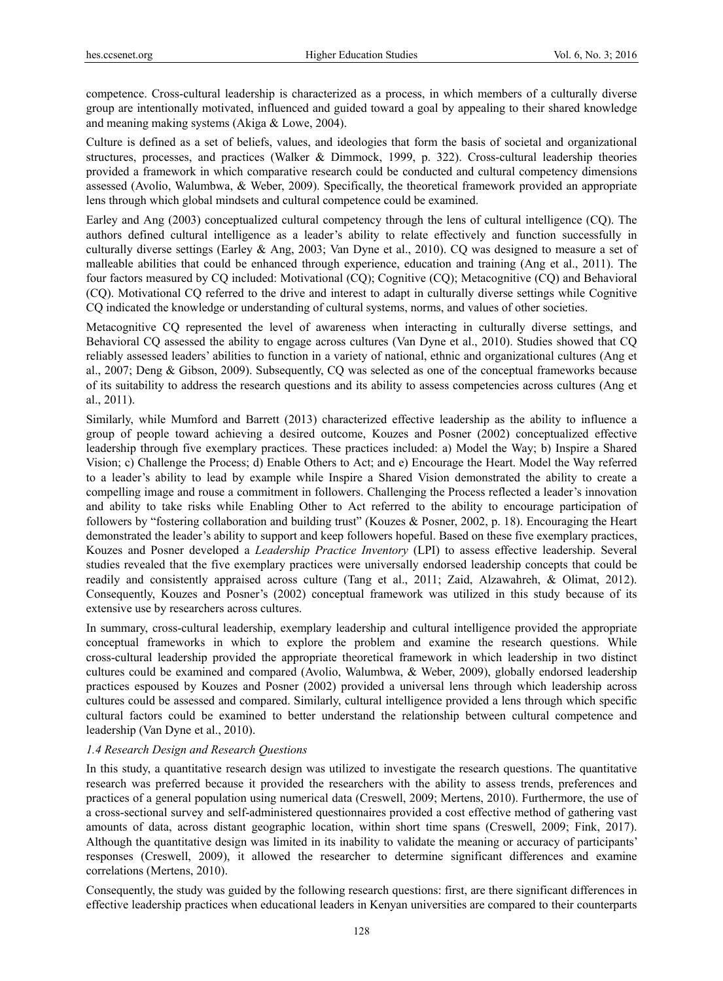competence. Cross-cultural leadership is characterized as a process, in which members of a culturally diverse group are intentionally motivated, influenced and guided toward a goal by appealing to their shared knowledge and meaning making systems (Akiga & Lowe, 2004).

Culture is defined as a set of beliefs, values, and ideologies that form the basis of societal and organizational structures, processes, and practices (Walker & Dimmock, 1999, p. 322). Cross-cultural leadership theories provided a framework in which comparative research could be conducted and cultural competency dimensions assessed (Avolio, Walumbwa, & Weber, 2009). Specifically, the theoretical framework provided an appropriate lens through which global mindsets and cultural competence could be examined.

Earley and Ang (2003) conceptualized cultural competency through the lens of cultural intelligence (CQ). The authors defined cultural intelligence as a leader's ability to relate effectively and function successfully in culturally diverse settings (Earley & Ang, 2003; Van Dyne et al., 2010). CQ was designed to measure a set of malleable abilities that could be enhanced through experience, education and training (Ang et al., 2011). The four factors measured by CQ included: Motivational (CQ); Cognitive (CQ); Metacognitive (CQ) and Behavioral (CQ). Motivational CQ referred to the drive and interest to adapt in culturally diverse settings while Cognitive CQ indicated the knowledge or understanding of cultural systems, norms, and values of other societies.

Metacognitive CQ represented the level of awareness when interacting in culturally diverse settings, and Behavioral CQ assessed the ability to engage across cultures (Van Dyne et al., 2010). Studies showed that CQ reliably assessed leaders' abilities to function in a variety of national, ethnic and organizational cultures (Ang et al., 2007; Deng & Gibson, 2009). Subsequently, CQ was selected as one of the conceptual frameworks because of its suitability to address the research questions and its ability to assess competencies across cultures (Ang et al., 2011).

Similarly, while Mumford and Barrett (2013) characterized effective leadership as the ability to influence a group of people toward achieving a desired outcome, Kouzes and Posner (2002) conceptualized effective leadership through five exemplary practices. These practices included: a) Model the Way; b) Inspire a Shared Vision; c) Challenge the Process; d) Enable Others to Act; and e) Encourage the Heart. Model the Way referred to a leader's ability to lead by example while Inspire a Shared Vision demonstrated the ability to create a compelling image and rouse a commitment in followers. Challenging the Process reflected a leader's innovation and ability to take risks while Enabling Other to Act referred to the ability to encourage participation of followers by "fostering collaboration and building trust" (Kouzes & Posner, 2002, p. 18). Encouraging the Heart demonstrated the leader's ability to support and keep followers hopeful. Based on these five exemplary practices, Kouzes and Posner developed a *Leadership Practice Inventory* (LPI) to assess effective leadership. Several studies revealed that the five exemplary practices were universally endorsed leadership concepts that could be readily and consistently appraised across culture (Tang et al., 2011; Zaid, Alzawahreh, & Olimat, 2012). Consequently, Kouzes and Posner's (2002) conceptual framework was utilized in this study because of its extensive use by researchers across cultures.

In summary, cross-cultural leadership, exemplary leadership and cultural intelligence provided the appropriate conceptual frameworks in which to explore the problem and examine the research questions. While cross-cultural leadership provided the appropriate theoretical framework in which leadership in two distinct cultures could be examined and compared (Avolio, Walumbwa, & Weber, 2009), globally endorsed leadership practices espoused by Kouzes and Posner (2002) provided a universal lens through which leadership across cultures could be assessed and compared. Similarly, cultural intelligence provided a lens through which specific cultural factors could be examined to better understand the relationship between cultural competence and leadership (Van Dyne et al., 2010).

#### *1.4 Research Design and Research Questions*

In this study, a quantitative research design was utilized to investigate the research questions. The quantitative research was preferred because it provided the researchers with the ability to assess trends, preferences and practices of a general population using numerical data (Creswell, 2009; Mertens, 2010). Furthermore, the use of a cross-sectional survey and self-administered questionnaires provided a cost effective method of gathering vast amounts of data, across distant geographic location, within short time spans (Creswell, 2009; Fink, 2017). Although the quantitative design was limited in its inability to validate the meaning or accuracy of participants' responses (Creswell, 2009), it allowed the researcher to determine significant differences and examine correlations (Mertens, 2010).

Consequently, the study was guided by the following research questions: first, are there significant differences in effective leadership practices when educational leaders in Kenyan universities are compared to their counterparts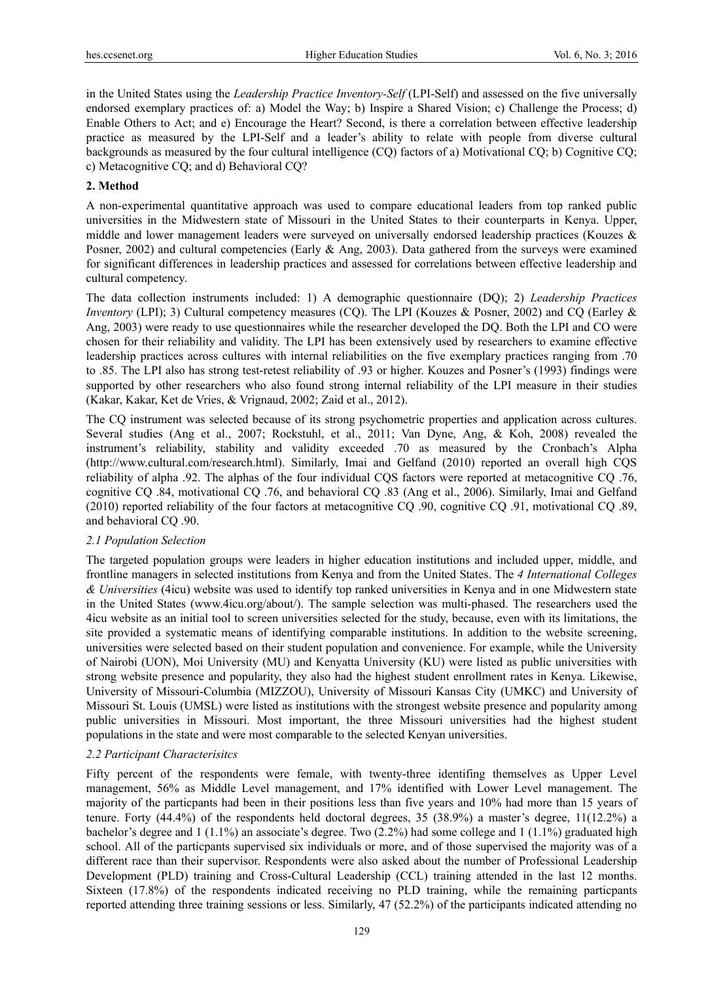in the United States using the *Leadership Practice Inventory-Self* (LPI-Self) and assessed on the five universally endorsed exemplary practices of: a) Model the Way; b) Inspire a Shared Vision; c) Challenge the Process; d) Enable Others to Act; and e) Encourage the Heart? Second, is there a correlation between effective leadership practice as measured by the LPI-Self and a leader's ability to relate with people from diverse cultural backgrounds as measured by the four cultural intelligence (CQ) factors of a) Motivational CQ; b) Cognitive CQ; c) Metacognitive CQ; and d) Behavioral CQ?

#### **2. Method**

A non-experimental quantitative approach was used to compare educational leaders from top ranked public universities in the Midwestern state of Missouri in the United States to their counterparts in Kenya. Upper, middle and lower management leaders were surveyed on universally endorsed leadership practices (Kouzes & Posner, 2002) and cultural competencies (Early & Ang, 2003). Data gathered from the surveys were examined for significant differences in leadership practices and assessed for correlations between effective leadership and cultural competency.

The data collection instruments included: 1) A demographic questionnaire (DQ); 2) *Leadership Practices Inventory* (LPI); 3) Cultural competency measures (CQ). The LPI (Kouzes & Posner, 2002) and CQ (Earley & Ang, 2003) were ready to use questionnaires while the researcher developed the DQ. Both the LPI and CO were chosen for their reliability and validity. The LPI has been extensively used by researchers to examine effective leadership practices across cultures with internal reliabilities on the five exemplary practices ranging from .70 to .85. The LPI also has strong test-retest reliability of .93 or higher. Kouzes and Posner's (1993) findings were supported by other researchers who also found strong internal reliability of the LPI measure in their studies (Kakar, Kakar, Ket de Vries, & Vrignaud, 2002; Zaid et al., 2012).

The CQ instrument was selected because of its strong psychometric properties and application across cultures. Several studies (Ang et al., 2007; Rockstuhl, et al., 2011; Van Dyne, Ang, & Koh, 2008) revealed the instrument's reliability, stability and validity exceeded .70 as measured by the Cronbach's Alpha (http://www.cultural.com/research.html). Similarly, Imai and Gelfand (2010) reported an overall high CQS reliability of alpha .92. The alphas of the four individual CQS factors were reported at metacognitive CQ .76, cognitive CQ .84, motivational CQ .76, and behavioral CQ .83 (Ang et al., 2006). Similarly, Imai and Gelfand (2010) reported reliability of the four factors at metacognitive CQ .90, cognitive CQ .91, motivational CQ .89, and behavioral CQ .90.

#### *2.1 Population Selection*

The targeted population groups were leaders in higher education institutions and included upper, middle, and frontline managers in selected institutions from Kenya and from the United States. The *4 International Colleges & Universities* (4icu) website was used to identify top ranked universities in Kenya and in one Midwestern state in the United States (www.4icu.org/about/). The sample selection was multi-phased. The researchers used the 4icu website as an initial tool to screen universities selected for the study, because, even with its limitations, the site provided a systematic means of identifying comparable institutions. In addition to the website screening, universities were selected based on their student population and convenience. For example, while the University of Nairobi (UON), Moi University (MU) and Kenyatta University (KU) were listed as public universities with strong website presence and popularity, they also had the highest student enrollment rates in Kenya. Likewise, University of Missouri-Columbia (MIZZOU), University of Missouri Kansas City (UMKC) and University of Missouri St. Louis (UMSL) were listed as institutions with the strongest website presence and popularity among public universities in Missouri. Most important, the three Missouri universities had the highest student populations in the state and were most comparable to the selected Kenyan universities.

## *2.2 Participant Characterisitcs*

Fifty percent of the respondents were female, with twenty-three identifing themselves as Upper Level management, 56% as Middle Level management, and 17% identified with Lower Level management. The majority of the particpants had been in their positions less than five years and 10% had more than 15 years of tenure. Forty (44.4%) of the respondents held doctoral degrees, 35 (38.9%) a master's degree, 11(12.2%) a bachelor's degree and 1 (1.1%) an associate's degree. Two (2.2%) had some college and 1 (1.1%) graduated high school. All of the particpants supervised six individuals or more, and of those supervised the majority was of a different race than their supervisor. Respondents were also asked about the number of Professional Leadership Development (PLD) training and Cross-Cultural Leadership (CCL) training attended in the last 12 months. Sixteen (17.8%) of the respondents indicated receiving no PLD training, while the remaining particpants reported attending three training sessions or less. Similarly, 47 (52.2%) of the participants indicated attending no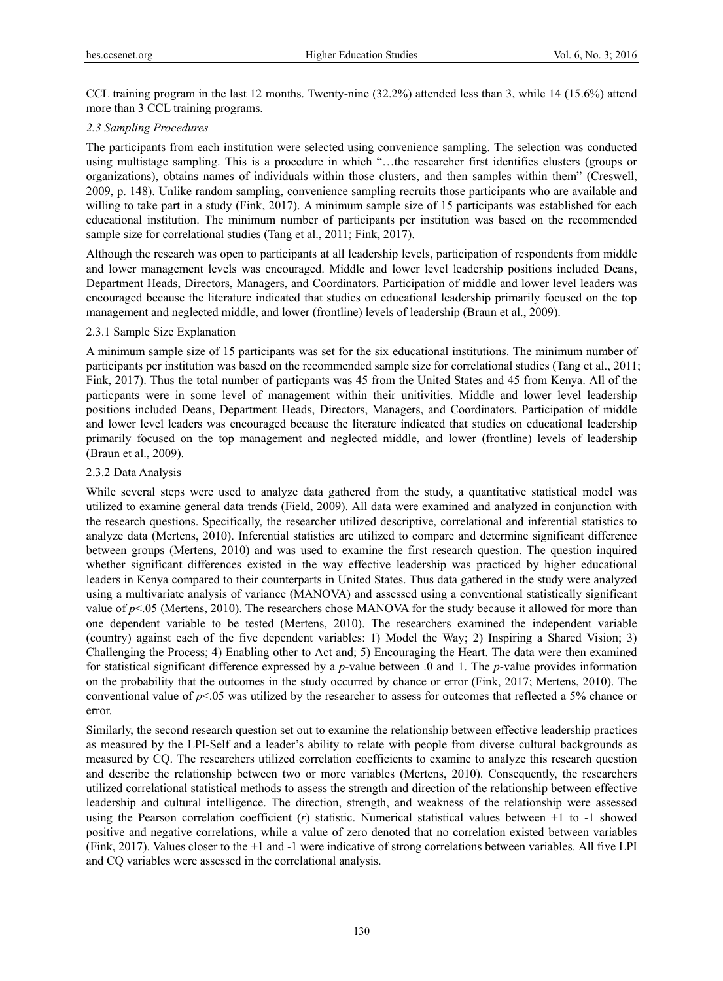CCL training program in the last 12 months. Twenty-nine (32.2%) attended less than 3, while 14 (15.6%) attend more than 3 CCL training programs.

## *2.3 Sampling Procedures*

The participants from each institution were selected using convenience sampling. The selection was conducted using multistage sampling. This is a procedure in which "…the researcher first identifies clusters (groups or organizations), obtains names of individuals within those clusters, and then samples within them" (Creswell, 2009, p. 148). Unlike random sampling, convenience sampling recruits those participants who are available and willing to take part in a study (Fink, 2017). A minimum sample size of 15 participants was established for each educational institution. The minimum number of participants per institution was based on the recommended sample size for correlational studies (Tang et al., 2011; Fink, 2017).

Although the research was open to participants at all leadership levels, participation of respondents from middle and lower management levels was encouraged. Middle and lower level leadership positions included Deans, Department Heads, Directors, Managers, and Coordinators. Participation of middle and lower level leaders was encouraged because the literature indicated that studies on educational leadership primarily focused on the top management and neglected middle, and lower (frontline) levels of leadership (Braun et al., 2009).

# 2.3.1 Sample Size Explanation

A minimum sample size of 15 participants was set for the six educational institutions. The minimum number of participants per institution was based on the recommended sample size for correlational studies (Tang et al., 2011; Fink, 2017). Thus the total number of particpants was 45 from the United States and 45 from Kenya. All of the particpants were in some level of management within their unitivities. Middle and lower level leadership positions included Deans, Department Heads, Directors, Managers, and Coordinators. Participation of middle and lower level leaders was encouraged because the literature indicated that studies on educational leadership primarily focused on the top management and neglected middle, and lower (frontline) levels of leadership (Braun et al., 2009).

# 2.3.2 Data Analysis

While several steps were used to analyze data gathered from the study, a quantitative statistical model was utilized to examine general data trends (Field, 2009). All data were examined and analyzed in conjunction with the research questions. Specifically, the researcher utilized descriptive, correlational and inferential statistics to analyze data (Mertens, 2010). Inferential statistics are utilized to compare and determine significant difference between groups (Mertens, 2010) and was used to examine the first research question. The question inquired whether significant differences existed in the way effective leadership was practiced by higher educational leaders in Kenya compared to their counterparts in United States. Thus data gathered in the study were analyzed using a multivariate analysis of variance (MANOVA) and assessed using a conventional statistically significant value of  $p$ <.05 (Mertens, 2010). The researchers chose MANOVA for the study because it allowed for more than one dependent variable to be tested (Mertens, 2010). The researchers examined the independent variable (country) against each of the five dependent variables: 1) Model the Way; 2) Inspiring a Shared Vision; 3) Challenging the Process; 4) Enabling other to Act and; 5) Encouraging the Heart. The data were then examined for statistical significant difference expressed by a *p-*value between .0 and 1. The *p*-value provides information on the probability that the outcomes in the study occurred by chance or error (Fink, 2017; Mertens, 2010). The conventional value of *p*<.05 was utilized by the researcher to assess for outcomes that reflected a 5% chance or error.

Similarly, the second research question set out to examine the relationship between effective leadership practices as measured by the LPI-Self and a leader's ability to relate with people from diverse cultural backgrounds as measured by CQ. The researchers utilized correlation coefficients to examine to analyze this research question and describe the relationship between two or more variables (Mertens, 2010). Consequently, the researchers utilized correlational statistical methods to assess the strength and direction of the relationship between effective leadership and cultural intelligence. The direction, strength, and weakness of the relationship were assessed using the Pearson correlation coefficient (*r*) statistic. Numerical statistical values between +1 to -1 showed positive and negative correlations, while a value of zero denoted that no correlation existed between variables (Fink, 2017). Values closer to the +1 and -1 were indicative of strong correlations between variables. All five LPI and CQ variables were assessed in the correlational analysis.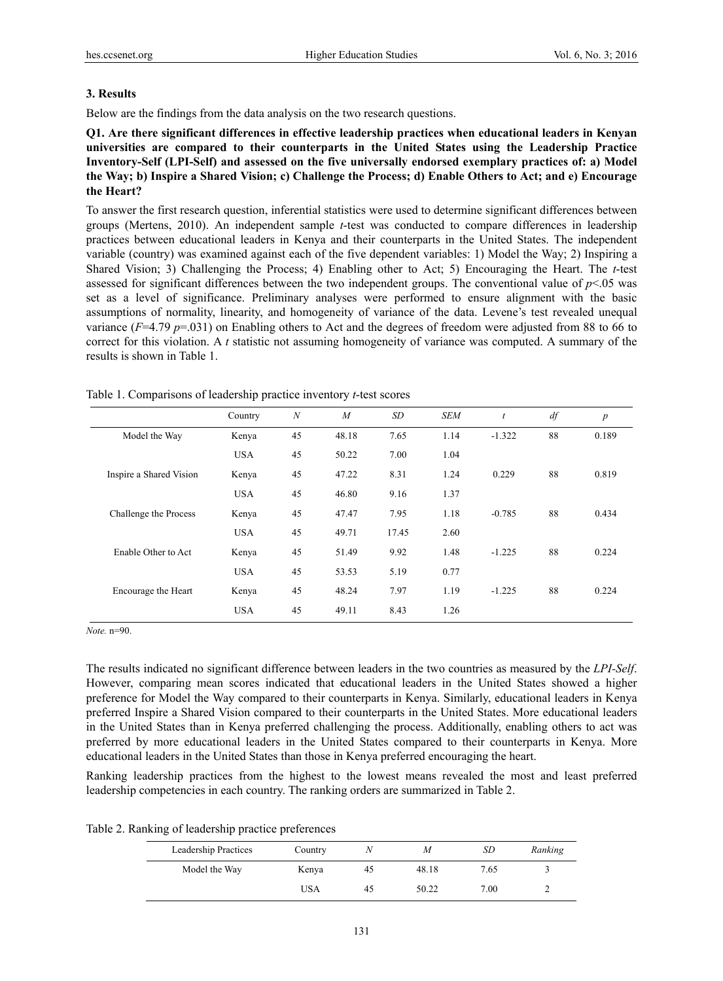## **3. Results**

Below are the findings from the data analysis on the two research questions.

**Q1. Are there significant differences in effective leadership practices when educational leaders in Kenyan universities are compared to their counterparts in the United States using the Leadership Practice Inventory-Self (LPI-Self) and assessed on the five universally endorsed exemplary practices of: a) Model the Way; b) Inspire a Shared Vision; c) Challenge the Process; d) Enable Others to Act; and e) Encourage the Heart?** 

To answer the first research question, inferential statistics were used to determine significant differences between groups (Mertens, 2010). An independent sample *t*-test was conducted to compare differences in leadership practices between educational leaders in Kenya and their counterparts in the United States. The independent variable (country) was examined against each of the five dependent variables: 1) Model the Way; 2) Inspiring a Shared Vision; 3) Challenging the Process; 4) Enabling other to Act; 5) Encouraging the Heart. The *t*-test assessed for significant differences between the two independent groups. The conventional value of *p*<.05 was set as a level of significance. Preliminary analyses were performed to ensure alignment with the basic assumptions of normality, linearity, and homogeneity of variance of the data. Levene's test revealed unequal variance  $(F=4.79 \text{ p} = .031)$  on Enabling others to Act and the degrees of freedom were adjusted from 88 to 66 to correct for this violation. A *t* statistic not assuming homogeneity of variance was computed. A summary of the results is shown in Table 1.

|                         | Country    | $\boldsymbol{N}$ | $\overline{M}$ | SD    | <b>SEM</b> | $\boldsymbol{t}$ | df | $\boldsymbol{p}$ |
|-------------------------|------------|------------------|----------------|-------|------------|------------------|----|------------------|
| Model the Way           | Kenya      | 45               | 48.18          | 7.65  | 1.14       | $-1.322$         | 88 | 0.189            |
|                         | <b>USA</b> | 45               | 50.22          | 7.00  | 1.04       |                  |    |                  |
| Inspire a Shared Vision | Kenya      | 45               | 47.22          | 8.31  | 1.24       | 0.229            | 88 | 0.819            |
|                         | <b>USA</b> | 45               | 46.80          | 9.16  | 1.37       |                  |    |                  |
| Challenge the Process   | Kenya      | 45               | 47.47          | 7.95  | 1.18       | $-0.785$         | 88 | 0.434            |
|                         | <b>USA</b> | 45               | 49.71          | 17.45 | 2.60       |                  |    |                  |
| Enable Other to Act     | Kenya      | 45               | 51.49          | 9.92  | 1.48       | $-1.225$         | 88 | 0.224            |
|                         | <b>USA</b> | 45               | 53.53          | 5.19  | 0.77       |                  |    |                  |
| Encourage the Heart     | Kenya      | 45               | 48.24          | 7.97  | 1.19       | $-1.225$         | 88 | 0.224            |
|                         | <b>USA</b> | 45               | 49.11          | 8.43  | 1.26       |                  |    |                  |

Table 1. Comparisons of leadership practice inventory *t*-test scores

*Note.* n=90.

The results indicated no significant difference between leaders in the two countries as measured by the *LPI-Self*. However, comparing mean scores indicated that educational leaders in the United States showed a higher preference for Model the Way compared to their counterparts in Kenya. Similarly, educational leaders in Kenya preferred Inspire a Shared Vision compared to their counterparts in the United States. More educational leaders in the United States than in Kenya preferred challenging the process. Additionally, enabling others to act was preferred by more educational leaders in the United States compared to their counterparts in Kenya. More educational leaders in the United States than those in Kenya preferred encouraging the heart.

Ranking leadership practices from the highest to the lowest means revealed the most and least preferred leadership competencies in each country. The ranking orders are summarized in Table 2.

Table 2. Ranking of leadership practice preferences

| Leadership Practices | Country | N  | М     | SD   | Ranking |
|----------------------|---------|----|-------|------|---------|
| Model the Way        | Kenya   | 45 | 48.18 | 7.65 |         |
|                      | USA     | 45 | 50.22 | 7.00 | ∸       |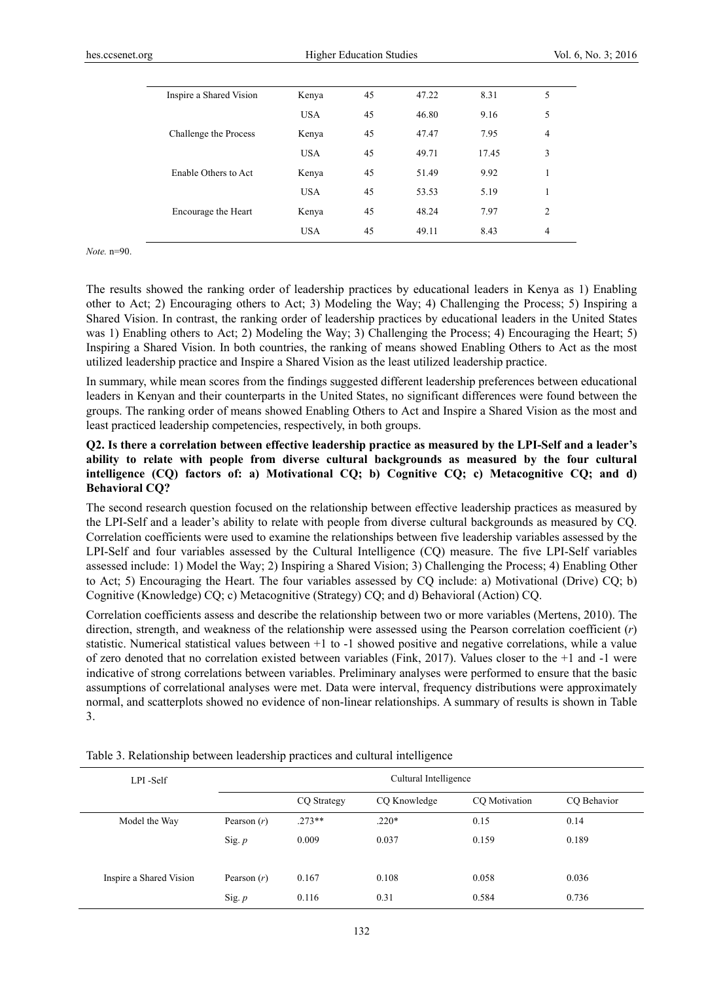| Inspire a Shared Vision | Kenya      | 45 | 47.22 | 8.31  | 5              |
|-------------------------|------------|----|-------|-------|----------------|
|                         | <b>USA</b> | 45 | 46.80 | 9.16  | 5              |
| Challenge the Process   | Kenya      | 45 | 47.47 | 7.95  | $\overline{4}$ |
|                         | <b>USA</b> | 45 | 49.71 | 17.45 | 3              |
| Enable Others to Act    | Kenya      | 45 | 51.49 | 9.92  | 1              |
|                         | <b>USA</b> | 45 | 53.53 | 5.19  | 1              |
| Encourage the Heart     | Kenya      | 45 | 48.24 | 7.97  | $\overline{c}$ |
|                         | <b>USA</b> | 45 | 49.11 | 8.43  | $\overline{4}$ |

*Note.* n=90.

The results showed the ranking order of leadership practices by educational leaders in Kenya as 1) Enabling other to Act; 2) Encouraging others to Act; 3) Modeling the Way; 4) Challenging the Process; 5) Inspiring a Shared Vision. In contrast, the ranking order of leadership practices by educational leaders in the United States was 1) Enabling others to Act; 2) Modeling the Way; 3) Challenging the Process; 4) Encouraging the Heart; 5) Inspiring a Shared Vision. In both countries, the ranking of means showed Enabling Others to Act as the most utilized leadership practice and Inspire a Shared Vision as the least utilized leadership practice.

In summary, while mean scores from the findings suggested different leadership preferences between educational leaders in Kenyan and their counterparts in the United States, no significant differences were found between the groups. The ranking order of means showed Enabling Others to Act and Inspire a Shared Vision as the most and least practiced leadership competencies, respectively, in both groups.

# **Q2. Is there a correlation between effective leadership practice as measured by the LPI-Self and a leader's ability to relate with people from diverse cultural backgrounds as measured by the four cultural intelligence (CQ) factors of: a) Motivational CQ; b) Cognitive CQ; c) Metacognitive CQ; and d) Behavioral CQ?**

The second research question focused on the relationship between effective leadership practices as measured by the LPI-Self and a leader's ability to relate with people from diverse cultural backgrounds as measured by CQ. Correlation coefficients were used to examine the relationships between five leadership variables assessed by the LPI-Self and four variables assessed by the Cultural Intelligence (CQ) measure. The five LPI-Self variables assessed include: 1) Model the Way; 2) Inspiring a Shared Vision; 3) Challenging the Process; 4) Enabling Other to Act; 5) Encouraging the Heart. The four variables assessed by CQ include: a) Motivational (Drive) CQ; b) Cognitive (Knowledge) CQ; c) Metacognitive (Strategy) CQ; and d) Behavioral (Action) CQ.

Correlation coefficients assess and describe the relationship between two or more variables (Mertens, 2010). The direction, strength, and weakness of the relationship were assessed using the Pearson correlation coefficient (*r*) statistic. Numerical statistical values between +1 to -1 showed positive and negative correlations, while a value of zero denoted that no correlation existed between variables (Fink, 2017). Values closer to the +1 and -1 were indicative of strong correlations between variables. Preliminary analyses were performed to ensure that the basic assumptions of correlational analyses were met. Data were interval, frequency distributions were approximately normal, and scatterplots showed no evidence of non-linear relationships. A summary of results is shown in Table 3.

| LPI-Self                | Cultural Intelligence |                                              |         |       |       |  |
|-------------------------|-----------------------|----------------------------------------------|---------|-------|-------|--|
|                         |                       | CO Motivation<br>CQ Strategy<br>CO Knowledge |         |       |       |  |
| Model the Way           | Pearson $(r)$         | $.273**$                                     | $.220*$ | 0.15  | 0.14  |  |
|                         | Sig. $p$              | 0.009                                        | 0.037   | 0.159 | 0.189 |  |
|                         |                       |                                              |         |       |       |  |
| Inspire a Shared Vision | Pearson $(r)$         | 0.167                                        | 0.108   | 0.058 | 0.036 |  |
|                         | Sig. $p$              | 0.116                                        | 0.31    | 0.584 | 0.736 |  |

Table 3. Relationship between leadership practices and cultural intelligence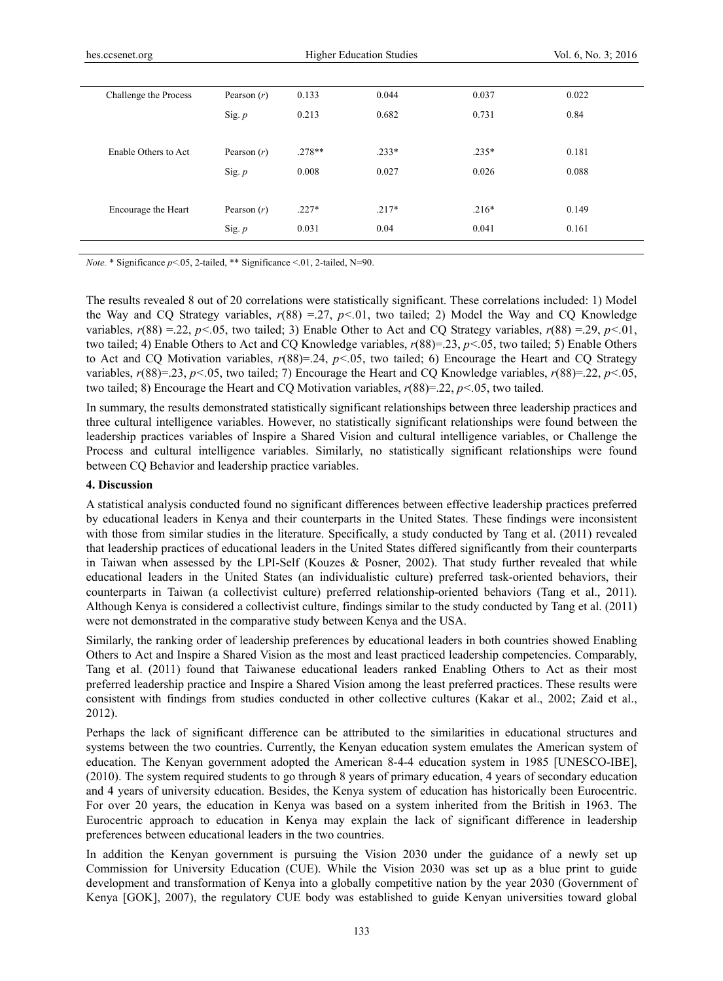| Challenge the Process | Pearson $(r)$ | 0.133    | 0.044   | 0.037   | 0.022 |
|-----------------------|---------------|----------|---------|---------|-------|
|                       | Sig. p        | 0.213    | 0.682   | 0.731   | 0.84  |
|                       |               |          |         |         |       |
| Enable Others to Act  | Pearson $(r)$ | $.278**$ | $.233*$ | $.235*$ | 0.181 |
|                       | Sig. p        | 0.008    | 0.027   | 0.026   | 0.088 |
|                       |               |          |         |         |       |
| Encourage the Heart   | Pearson $(r)$ | $.227*$  | $.217*$ | $.216*$ | 0.149 |
|                       | Sig. p        | 0.031    | 0.04    | 0.041   | 0.161 |
|                       |               |          |         |         |       |

*Note.* \* Significance *p*<.05, 2-tailed, \*\* Significance <.01, 2-tailed, N=90.

The results revealed 8 out of 20 correlations were statistically significant. These correlations included: 1) Model the Way and CQ Strategy variables,  $r(88) = 27$ ,  $p < 01$ , two tailed; 2) Model the Way and CQ Knowledge variables, *r*(88) =.22, *p<.*05, two tailed; 3) Enable Other to Act and CQ Strategy variables, *r*(88) =.29, *p<.*01, two tailed; 4) Enable Others to Act and CQ Knowledge variables, *r*(88)=.23, *p<.*05, two tailed; 5) Enable Others to Act and CQ Motivation variables, *r*(88)=.24, *p<.*05, two tailed; 6) Encourage the Heart and CQ Strategy variables,  $r(88)=.23$ ,  $p<.05$ , two tailed; 7) Encourage the Heart and CQ Knowledge variables,  $r(88)=.22$ ,  $p<.05$ , two tailed; 8) Encourage the Heart and CQ Motivation variables, *r*(88)=.22, *p<.*05, two tailed.

In summary, the results demonstrated statistically significant relationships between three leadership practices and three cultural intelligence variables. However, no statistically significant relationships were found between the leadership practices variables of Inspire a Shared Vision and cultural intelligence variables, or Challenge the Process and cultural intelligence variables. Similarly, no statistically significant relationships were found between CQ Behavior and leadership practice variables.

#### **4. Discussion**

A statistical analysis conducted found no significant differences between effective leadership practices preferred by educational leaders in Kenya and their counterparts in the United States. These findings were inconsistent with those from similar studies in the literature. Specifically, a study conducted by Tang et al. (2011) revealed that leadership practices of educational leaders in the United States differed significantly from their counterparts in Taiwan when assessed by the LPI-Self (Kouzes & Posner, 2002). That study further revealed that while educational leaders in the United States (an individualistic culture) preferred task-oriented behaviors, their counterparts in Taiwan (a collectivist culture) preferred relationship-oriented behaviors (Tang et al., 2011). Although Kenya is considered a collectivist culture, findings similar to the study conducted by Tang et al. (2011) were not demonstrated in the comparative study between Kenya and the USA.

Similarly, the ranking order of leadership preferences by educational leaders in both countries showed Enabling Others to Act and Inspire a Shared Vision as the most and least practiced leadership competencies. Comparably, Tang et al. (2011) found that Taiwanese educational leaders ranked Enabling Others to Act as their most preferred leadership practice and Inspire a Shared Vision among the least preferred practices. These results were consistent with findings from studies conducted in other collective cultures (Kakar et al., 2002; Zaid et al., 2012).

Perhaps the lack of significant difference can be attributed to the similarities in educational structures and systems between the two countries. Currently, the Kenyan education system emulates the American system of education. The Kenyan government adopted the American 8-4-4 education system in 1985 [UNESCO-IBE], (2010). The system required students to go through 8 years of primary education, 4 years of secondary education and 4 years of university education. Besides, the Kenya system of education has historically been Eurocentric. For over 20 years, the education in Kenya was based on a system inherited from the British in 1963. The Eurocentric approach to education in Kenya may explain the lack of significant difference in leadership preferences between educational leaders in the two countries.

In addition the Kenyan government is pursuing the Vision 2030 under the guidance of a newly set up Commission for University Education (CUE). While the Vision 2030 was set up as a blue print to guide development and transformation of Kenya into a globally competitive nation by the year 2030 (Government of Kenya [GOK], 2007), the regulatory CUE body was established to guide Kenyan universities toward global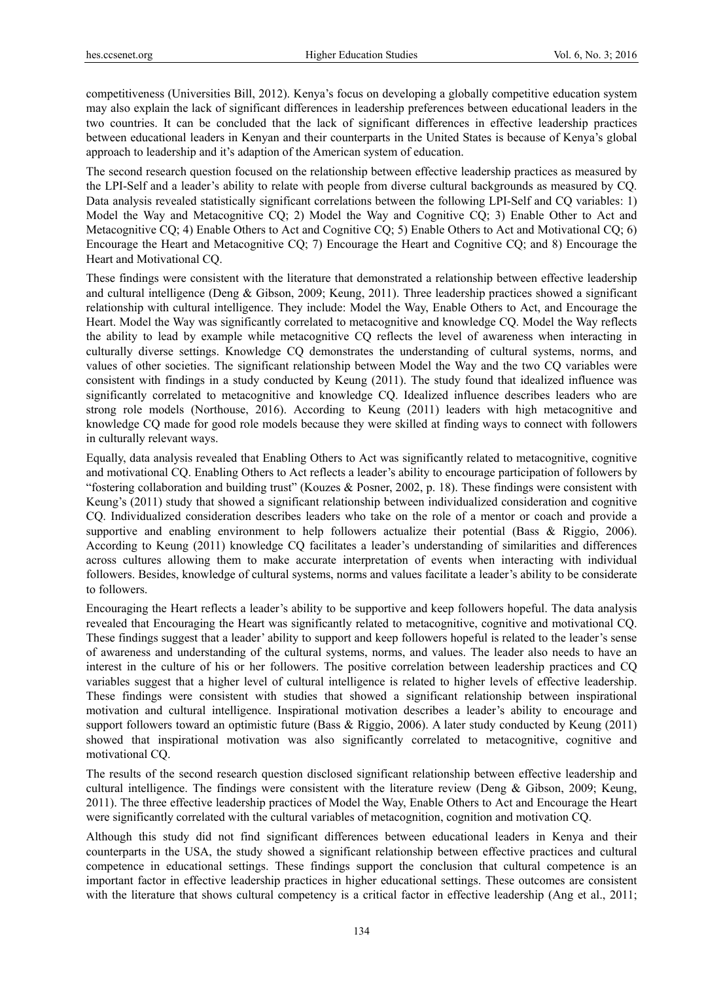competitiveness (Universities Bill, 2012). Kenya's focus on developing a globally competitive education system may also explain the lack of significant differences in leadership preferences between educational leaders in the two countries. It can be concluded that the lack of significant differences in effective leadership practices between educational leaders in Kenyan and their counterparts in the United States is because of Kenya's global approach to leadership and it's adaption of the American system of education.

The second research question focused on the relationship between effective leadership practices as measured by the LPI-Self and a leader's ability to relate with people from diverse cultural backgrounds as measured by CQ. Data analysis revealed statistically significant correlations between the following LPI-Self and CQ variables: 1) Model the Way and Metacognitive CQ; 2) Model the Way and Cognitive CQ; 3) Enable Other to Act and Metacognitive CQ; 4) Enable Others to Act and Cognitive CQ; 5) Enable Others to Act and Motivational CQ; 6) Encourage the Heart and Metacognitive CQ; 7) Encourage the Heart and Cognitive CQ; and 8) Encourage the Heart and Motivational CQ.

These findings were consistent with the literature that demonstrated a relationship between effective leadership and cultural intelligence (Deng & Gibson, 2009; Keung, 2011). Three leadership practices showed a significant relationship with cultural intelligence. They include: Model the Way, Enable Others to Act, and Encourage the Heart. Model the Way was significantly correlated to metacognitive and knowledge CQ. Model the Way reflects the ability to lead by example while metacognitive CQ reflects the level of awareness when interacting in culturally diverse settings. Knowledge CQ demonstrates the understanding of cultural systems, norms, and values of other societies. The significant relationship between Model the Way and the two CQ variables were consistent with findings in a study conducted by Keung (2011). The study found that idealized influence was significantly correlated to metacognitive and knowledge CQ. Idealized influence describes leaders who are strong role models (Northouse, 2016). According to Keung (2011) leaders with high metacognitive and knowledge CQ made for good role models because they were skilled at finding ways to connect with followers in culturally relevant ways.

Equally, data analysis revealed that Enabling Others to Act was significantly related to metacognitive, cognitive and motivational CQ. Enabling Others to Act reflects a leader's ability to encourage participation of followers by "fostering collaboration and building trust" (Kouzes & Posner, 2002, p. 18). These findings were consistent with Keung's (2011) study that showed a significant relationship between individualized consideration and cognitive CQ. Individualized consideration describes leaders who take on the role of a mentor or coach and provide a supportive and enabling environment to help followers actualize their potential (Bass & Riggio, 2006). According to Keung (2011) knowledge CQ facilitates a leader's understanding of similarities and differences across cultures allowing them to make accurate interpretation of events when interacting with individual followers. Besides, knowledge of cultural systems, norms and values facilitate a leader's ability to be considerate to followers.

Encouraging the Heart reflects a leader's ability to be supportive and keep followers hopeful. The data analysis revealed that Encouraging the Heart was significantly related to metacognitive, cognitive and motivational CQ. These findings suggest that a leader' ability to support and keep followers hopeful is related to the leader's sense of awareness and understanding of the cultural systems, norms, and values. The leader also needs to have an interest in the culture of his or her followers. The positive correlation between leadership practices and CQ variables suggest that a higher level of cultural intelligence is related to higher levels of effective leadership. These findings were consistent with studies that showed a significant relationship between inspirational motivation and cultural intelligence. Inspirational motivation describes a leader's ability to encourage and support followers toward an optimistic future (Bass & Riggio, 2006). A later study conducted by Keung (2011) showed that inspirational motivation was also significantly correlated to metacognitive, cognitive and motivational CQ.

The results of the second research question disclosed significant relationship between effective leadership and cultural intelligence. The findings were consistent with the literature review (Deng & Gibson, 2009; Keung, 2011). The three effective leadership practices of Model the Way, Enable Others to Act and Encourage the Heart were significantly correlated with the cultural variables of metacognition, cognition and motivation CQ.

Although this study did not find significant differences between educational leaders in Kenya and their counterparts in the USA, the study showed a significant relationship between effective practices and cultural competence in educational settings. These findings support the conclusion that cultural competence is an important factor in effective leadership practices in higher educational settings. These outcomes are consistent with the literature that shows cultural competency is a critical factor in effective leadership (Ang et al., 2011;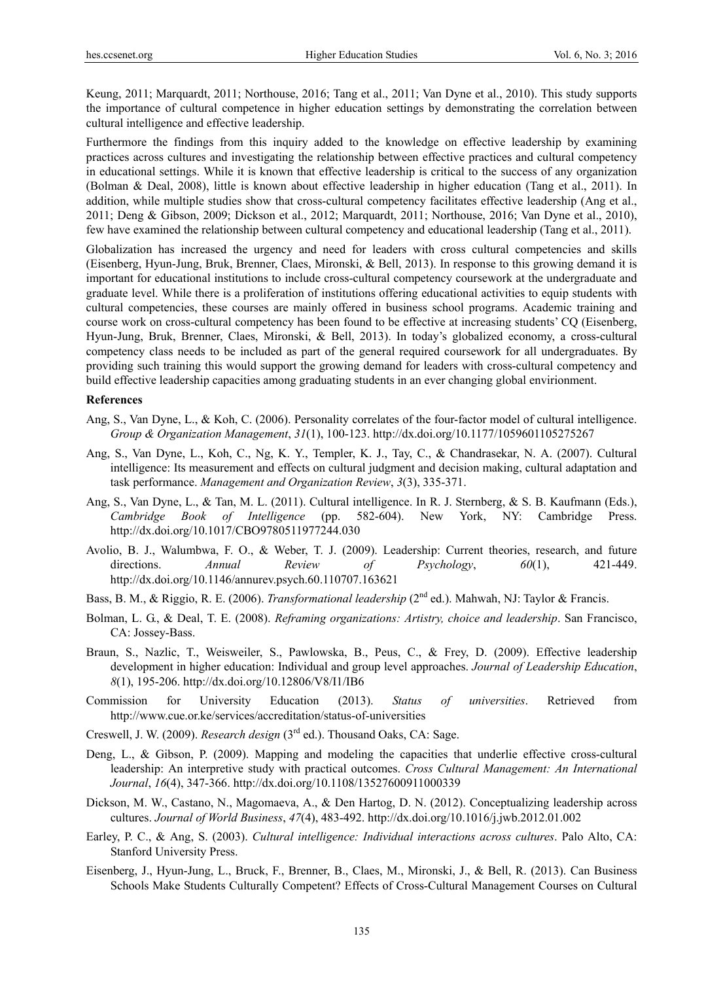Keung, 2011; Marquardt, 2011; Northouse, 2016; Tang et al., 2011; Van Dyne et al., 2010). This study supports the importance of cultural competence in higher education settings by demonstrating the correlation between cultural intelligence and effective leadership.

Furthermore the findings from this inquiry added to the knowledge on effective leadership by examining practices across cultures and investigating the relationship between effective practices and cultural competency in educational settings. While it is known that effective leadership is critical to the success of any organization (Bolman & Deal, 2008), little is known about effective leadership in higher education (Tang et al., 2011). In addition, while multiple studies show that cross-cultural competency facilitates effective leadership (Ang et al., 2011; Deng & Gibson, 2009; Dickson et al., 2012; Marquardt, 2011; Northouse, 2016; Van Dyne et al., 2010), few have examined the relationship between cultural competency and educational leadership (Tang et al., 2011).

Globalization has increased the urgency and need for leaders with cross cultural competencies and skills (Eisenberg, Hyun-Jung, Bruk, Brenner, Claes, Mironski, & Bell, 2013). In response to this growing demand it is important for educational institutions to include cross-cultural competency coursework at the undergraduate and graduate level. While there is a proliferation of institutions offering educational activities to equip students with cultural competencies, these courses are mainly offered in business school programs. Academic training and course work on cross-cultural competency has been found to be effective at increasing students' CQ (Eisenberg, Hyun-Jung, Bruk, Brenner, Claes, Mironski, & Bell, 2013). In today's globalized economy, a cross-cultural competency class needs to be included as part of the general required coursework for all undergraduates. By providing such training this would support the growing demand for leaders with cross-cultural competency and build effective leadership capacities among graduating students in an ever changing global envirionment.

#### **References**

- Ang, S., Van Dyne, L., & Koh, C. (2006). Personality correlates of the four-factor model of cultural intelligence. *Group & Organization Management*, *31*(1), 100-123. http://dx.doi.org/10.1177/1059601105275267
- Ang, S., Van Dyne, L., Koh, C., Ng, K. Y., Templer, K. J., Tay, C., & Chandrasekar, N. A. (2007). Cultural intelligence: Its measurement and effects on cultural judgment and decision making, cultural adaptation and task performance. *Management and Organization Review*, *3*(3), 335-371.
- Ang, S., Van Dyne, L., & Tan, M. L. (2011). Cultural intelligence. In R. J. Sternberg, & S. B. Kaufmann (Eds.), *Cambridge Book of Intelligence* (pp. 582-604). New York, NY: Cambridge Press. http://dx.doi.org/10.1017/CBO9780511977244.030
- Avolio, B. J., Walumbwa, F. O., & Weber, T. J. (2009). Leadership: Current theories, research, and future directions. *Annual Review of Psychology*, *60*(1), 421-449. http://dx.doi.org/10.1146/annurev.psych.60.110707.163621
- Bass, B. M., & Riggio, R. E. (2006). *Transformational leadership* (2<sup>nd</sup> ed.). Mahwah, NJ: Taylor & Francis.
- Bolman, L. G., & Deal, T. E. (2008). *Reframing organizations: Artistry, choice and leadership*. San Francisco, CA: Jossey-Bass.
- Braun, S., Nazlic, T., Weisweiler, S., Pawlowska, B., Peus, C., & Frey, D. (2009). Effective leadership development in higher education: Individual and group level approaches. *Journal of Leadership Education*, *8*(1), 195-206. http://dx.doi.org/10.12806/V8/I1/IB6
- Commission for University Education (2013). *Status of universities*. Retrieved from http://www.cue.or.ke/services/accreditation/status-of-universities
- Creswell, J. W. (2009). *Research design* (3rd ed.). Thousand Oaks, CA: Sage.
- Deng, L., & Gibson, P. (2009). Mapping and modeling the capacities that underlie effective cross-cultural leadership: An interpretive study with practical outcomes. *Cross Cultural Management: An International Journal*, *16*(4), 347-366. http://dx.doi.org/10.1108/13527600911000339
- Dickson, M. W., Castano, N., Magomaeva, A., & Den Hartog, D. N. (2012). Conceptualizing leadership across cultures. *Journal of World Business*, *47*(4), 483-492. http://dx.doi.org/10.1016/j.jwb.2012.01.002
- Earley, P. C., & Ang, S. (2003). *Cultural intelligence: Individual interactions across cultures*. Palo Alto, CA: Stanford University Press.
- Eisenberg, J., Hyun-Jung, L., Bruck, F., Brenner, B., Claes, M., Mironski, J., & Bell, R. (2013). Can Business Schools Make Students Culturally Competent? Effects of Cross-Cultural Management Courses on Cultural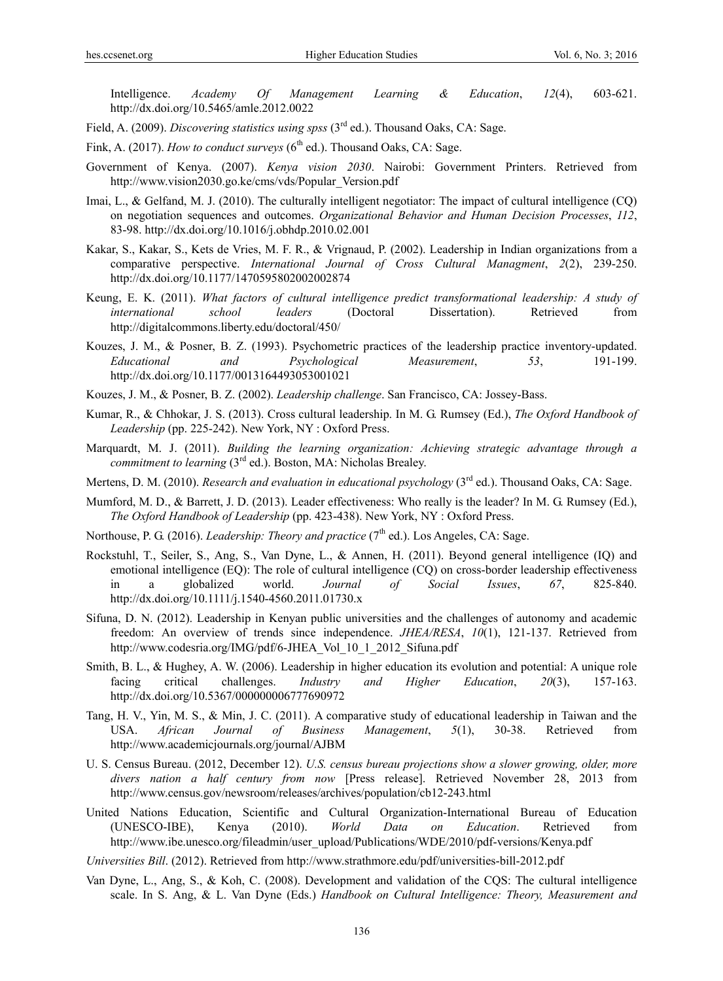Intelligence. *Academy Of Management Learning & Education*, *12*(4), 603-621. http://dx.doi.org/10.5465/amle.2012.0022

- Field, A. (2009). *Discovering statistics using spss* (3rd ed.). Thousand Oaks, CA: Sage.
- Fink, A. (2017). *How to conduct surveys* (6<sup>th</sup> ed.). Thousand Oaks, CA: Sage.
- Government of Kenya. (2007). *Kenya vision 2030*. Nairobi: Government Printers. Retrieved from http://www.vision2030.go.ke/cms/vds/Popular\_Version.pdf
- Imai, L., & Gelfand, M. J. (2010). The culturally intelligent negotiator: The impact of cultural intelligence (CQ) on negotiation sequences and outcomes. *Organizational Behavior and Human Decision Processes*, *112*, 83-98. http://dx.doi.org/10.1016/j.obhdp.2010.02.001
- Kakar, S., Kakar, S., Kets de Vries, M. F. R., & Vrignaud, P. (2002). Leadership in Indian organizations from a comparative perspective. *International Journal of Cross Cultural Managment*, *2*(2), 239-250. http://dx.doi.org/10.1177/1470595802002002874
- Keung, E. K. (2011). *What factors of cultural intelligence predict transformational leadership: A study of international school leaders* (Doctoral Dissertation). Retrieved from http://digitalcommons.liberty.edu/doctoral/450/
- Kouzes, J. M., & Posner, B. Z. (1993). Psychometric practices of the leadership practice inventory-updated. *Educational and Psychological Measurement*, *53*, 191-199. http://dx.doi.org/10.1177/0013164493053001021
- Kouzes, J. M., & Posner, B. Z. (2002). *Leadership challenge*. San Francisco, CA: Jossey-Bass.
- Kumar, R., & Chhokar, J. S. (2013). Cross cultural leadership. In M. G. Rumsey (Ed.), *The Oxford Handbook of Leadership* (pp. 225-242). New York, NY : Oxford Press.
- Marquardt, M. J. (2011). *Building the learning organization: Achieving strategic advantage through a commitment to learning* (3<sup>rd</sup> ed.). Boston, MA: Nicholas Brealey.
- Mertens, D. M. (2010). *Research and evaluation in educational psychology* (3<sup>rd</sup> ed.). Thousand Oaks, CA: Sage.
- Mumford, M. D., & Barrett, J. D. (2013). Leader effectiveness: Who really is the leader? In M. G. Rumsey (Ed.), *The Oxford Handbook of Leadership* (pp. 423-438). New York, NY : Oxford Press.
- Northouse, P. G. (2016). *Leadership: Theory and practice* (7<sup>th</sup> ed.). Los Angeles, CA: Sage.
- Rockstuhl, T., Seiler, S., Ang, S., Van Dyne, L., & Annen, H. (2011). Beyond general intelligence (IQ) and emotional intelligence (EQ): The role of cultural intelligence (CQ) on cross-border leadership effectiveness in a globalized world. *Journal of Social Issues*, *67*, 825-840. http://dx.doi.org/10.1111/j.1540-4560.2011.01730.x
- Sifuna, D. N. (2012). Leadership in Kenyan public universities and the challenges of autonomy and academic freedom: An overview of trends since independence. *JHEA/RESA*, *10*(1), 121-137. Retrieved from http://www.codesria.org/IMG/pdf/6-JHEA\_Vol\_10\_1\_2012\_Sifuna.pdf
- Smith, B. L., & Hughey, A. W. (2006). Leadership in higher education its evolution and potential: A unique role facing critical challenges. *Industry and Higher Education*, *20*(3), 157-163. http://dx.doi.org/10.5367/000000006777690972
- Tang, H. V., Yin, M. S., & Min, J. C. (2011). A comparative study of educational leadership in Taiwan and the USA. *African Journal of Business Management*, *5*(1), 30-38. Retrieved from http://www.academicjournals.org/journal/AJBM
- U. S. Census Bureau. (2012, December 12). *U.S. census bureau projections show a slower growing, older, more divers nation a half century from now* [Press release]. Retrieved November 28, 2013 from http://www.census.gov/newsroom/releases/archives/population/cb12-243.html
- United Nations Education, Scientific and Cultural Organization-International Bureau of Education (UNESCO-IBE), Kenya (2010). *World Data on Education*. Retrieved from http://www.ibe.unesco.org/fileadmin/user\_upload/Publications/WDE/2010/pdf-versions/Kenya.pdf

*Universities Bill*. (2012). Retrieved from http://www.strathmore.edu/pdf/universities-bill-2012.pdf

Van Dyne, L., Ang, S., & Koh, C. (2008). Development and validation of the CQS: The cultural intelligence scale. In S. Ang, & L. Van Dyne (Eds.) *Handbook on Cultural Intelligence: Theory, Measurement and*